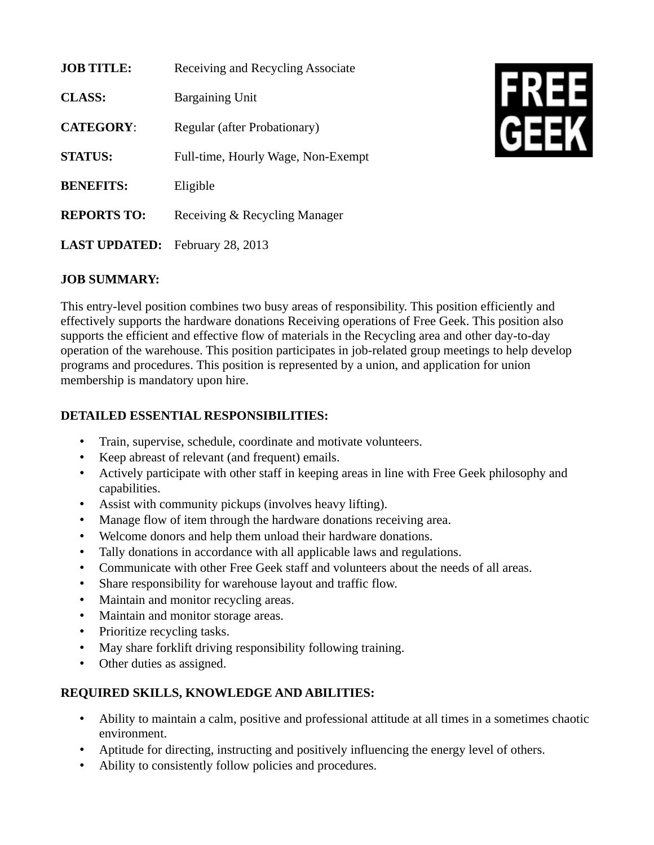| <b>JOB TITLE:</b>                      | Receiving and Recycling Associate  |
|----------------------------------------|------------------------------------|
| <b>CLASS:</b>                          | <b>Bargaining Unit</b>             |
| <b>CATEGORY:</b>                       | Regular (after Probationary)       |
| <b>STATUS:</b>                         | Full-time, Hourly Wage, Non-Exempt |
| <b>BENEFITS:</b>                       | Eligible                           |
| <b>REPORTS TO:</b>                     | Receiving & Recycling Manager      |
| <b>LAST UPDATED:</b> February 28, 2013 |                                    |



## **JOB SUMMARY:**

This entry-level position combines two busy areas of responsibility. This position efficiently and effectively supports the hardware donations Receiving operations of Free Geek. This position also supports the efficient and effective flow of materials in the Recycling area and other day-to-day operation of the warehouse. This position participates in job-related group meetings to help develop programs and procedures. This position is represented by a union, and application for union membership is mandatory upon hire.

## **DETAILED ESSENTIAL RESPONSIBILITIES:**

- Train, supervise, schedule, coordinate and motivate volunteers.
- Keep abreast of relevant (and frequent) emails.
- Actively participate with other staff in keeping areas in line with Free Geek philosophy and capabilities.
- Assist with community pickups (involves heavy lifting).
- Manage flow of item through the hardware donations receiving area.
- Welcome donors and help them unload their hardware donations.
- Tally donations in accordance with all applicable laws and regulations.
- Communicate with other Free Geek staff and volunteers about the needs of all areas.
- Share responsibility for warehouse layout and traffic flow.
- Maintain and monitor recycling areas.
- Maintain and monitor storage areas.
- Prioritize recycling tasks.
- May share forklift driving responsibility following training.
- Other duties as assigned.

## **REQUIRED SKILLS, KNOWLEDGE AND ABILITIES:**

- Ability to maintain a calm, positive and professional attitude at all times in a sometimes chaotic environment.
- Aptitude for directing, instructing and positively influencing the energy level of others.
- Ability to consistently follow policies and procedures.